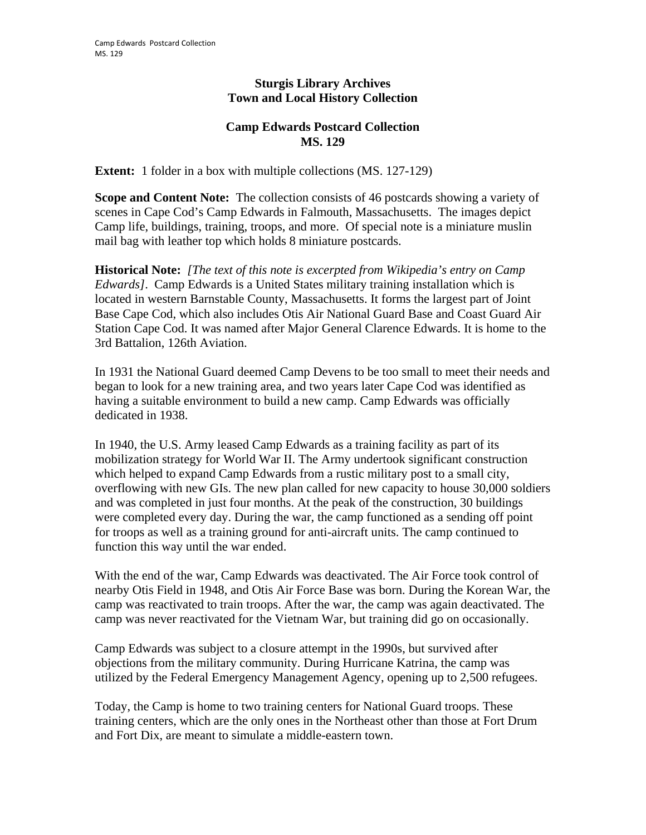## **Sturgis Library Archives Town and Local History Collection**

## **Camp Edwards Postcard Collection MS. 129**

**Extent:** 1 folder in a box with multiple collections (MS. 127-129)

**Scope and Content Note:** The collection consists of 46 postcards showing a variety of scenes in Cape Cod's Camp Edwards in Falmouth, Massachusetts. The images depict Camp life, buildings, training, troops, and more. Of special note is a miniature muslin mail bag with leather top which holds 8 miniature postcards.

**Historical Note:** *[The text of this note is excerpted from Wikipedia's entry on Camp Edwards]*. Camp Edwards is a United States military training installation which is located in western Barnstable County, Massachusetts. It forms the largest part of Joint Base Cape Cod, which also includes Otis Air National Guard Base and Coast Guard Air Station Cape Cod. It was named after Major General Clarence Edwards. It is home to the 3rd Battalion, 126th Aviation.

In 1931 the National Guard deemed Camp Devens to be too small to meet their needs and began to look for a new training area, and two years later Cape Cod was identified as having a suitable environment to build a new camp. Camp Edwards was officially dedicated in 1938.

In 1940, the U.S. Army leased Camp Edwards as a training facility as part of its mobilization strategy for World War II. The Army undertook significant construction which helped to expand Camp Edwards from a rustic military post to a small city, overflowing with new GIs. The new plan called for new capacity to house 30,000 soldiers and was completed in just four months. At the peak of the construction, 30 buildings were completed every day. During the war, the camp functioned as a sending off point for troops as well as a training ground for anti-aircraft units. The camp continued to function this way until the war ended.

With the end of the war, Camp Edwards was deactivated. The Air Force took control of nearby Otis Field in 1948, and Otis Air Force Base was born. During the Korean War, the camp was reactivated to train troops. After the war, the camp was again deactivated. The camp was never reactivated for the Vietnam War, but training did go on occasionally.

Camp Edwards was subject to a closure attempt in the 1990s, but survived after objections from the military community. During Hurricane Katrina, the camp was utilized by the Federal Emergency Management Agency, opening up to 2,500 refugees.

Today, the Camp is home to two training centers for National Guard troops. These training centers, which are the only ones in the Northeast other than those at Fort Drum and Fort Dix, are meant to simulate a middle-eastern town.